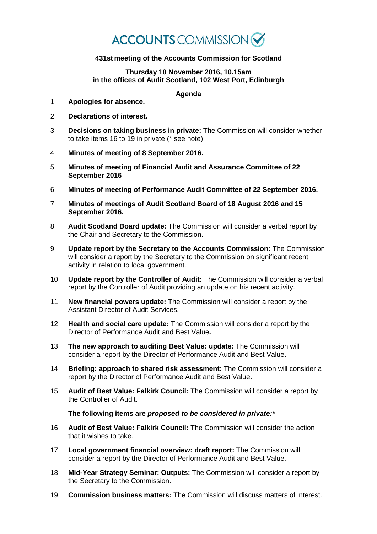## **ACCOUNTS** COMMISSION

## **431st meeting of the Accounts Commission for Scotland**

## **Thursday 10 November 2016, 10.15am in the offices of Audit Scotland, 102 West Port, Edinburgh**

## **Agenda**

- 1. **Apologies for absence.**
- 2. **Declarations of interest.**
- 3. **Decisions on taking business in private:** The Commission will consider whether to take items 16 to 19 in private (\* see note).
- 4. **Minutes of meeting of 8 September 2016.**
- 5. **Minutes of meeting of Financial Audit and Assurance Committee of 22 September 2016**
- 6. **Minutes of meeting of Performance Audit Committee of 22 September 2016.**
- 7. **Minutes of meetings of Audit Scotland Board of 18 August 2016 and 15 September 2016.**
- 8. **Audit Scotland Board update:** The Commission will consider a verbal report by the Chair and Secretary to the Commission.
- 9. **Update report by the Secretary to the Accounts Commission:** The Commission will consider a report by the Secretary to the Commission on significant recent activity in relation to local government.
- 10. **Update report by the Controller of Audit:** The Commission will consider a verbal report by the Controller of Audit providing an update on his recent activity.
- 11. **New financial powers update:** The Commission will consider a report by the Assistant Director of Audit Services.
- 12. **Health and social care update:** The Commission will consider a report by the Director of Performance Audit and Best Value**.**
- 13. **The new approach to auditing Best Value: update:** The Commission will consider a report by the Director of Performance Audit and Best Value**.**
- 14. **Briefing: approach to shared risk assessment:** The Commission will consider a report by the Director of Performance Audit and Best Value**.**
- 15. **Audit of Best Value: Falkirk Council:** The Commission will consider a report by the Controller of Audit.

**The following items are** *proposed to be considered in private:\**

- 16. **Audit of Best Value: Falkirk Council:** The Commission will consider the action that it wishes to take.
- 17. **Local government financial overview: draft report:** The Commission will consider a report by the Director of Performance Audit and Best Value.
- 18. **Mid-Year Strategy Seminar: Outputs:** The Commission will consider a report by the Secretary to the Commission.
- 19. **Commission business matters:** The Commission will discuss matters of interest.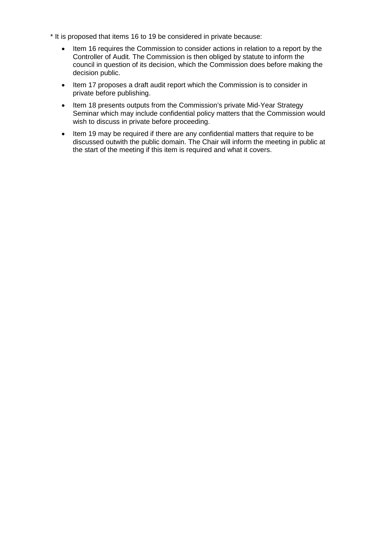- \* It is proposed that items 16 to 19 be considered in private because:
	- Item 16 requires the Commission to consider actions in relation to a report by the Controller of Audit. The Commission is then obliged by statute to inform the council in question of its decision, which the Commission does before making the decision public.
	- Item 17 proposes a draft audit report which the Commission is to consider in private before publishing.
	- Item 18 presents outputs from the Commission's private Mid-Year Strategy Seminar which may include confidential policy matters that the Commission would wish to discuss in private before proceeding.
	- Item 19 may be required if there are any confidential matters that require to be discussed outwith the public domain. The Chair will inform the meeting in public at the start of the meeting if this item is required and what it covers.